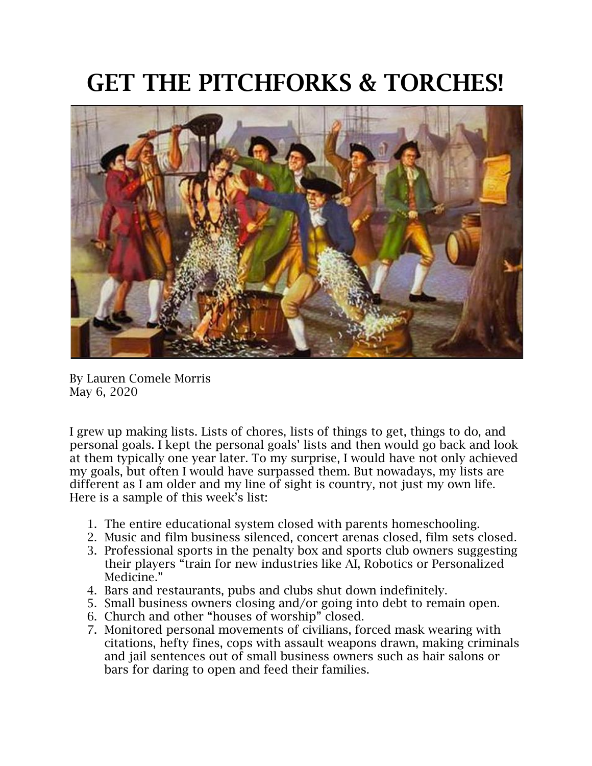## GET THE PITCHFORKS & TORCHES!



By Lauren Comele Morris May 6, 2020

I grew up making lists. Lists of chores, lists of things to get, things to do, and personal goals. I kept the personal goals' lists and then would go back and look at them typically one year later. To my surprise, I would have not only achieved my goals, but often I would have surpassed them. But nowadays, my lists are different as I am older and my line of sight is country, not just my own life. Here is a sample of this week's list:

- 1. The entire educational system closed with parents homeschooling.
- 2. Music and film business silenced, concert arenas closed, film sets closed.
- 3. Professional sports in the penalty box and sports club owners suggesting their players "train for new industries like AI, Robotics or Personalized Medicine."
- 4. Bars and restaurants, pubs and clubs shut down indefinitely.
- 5. Small business owners closing and/or going into debt to remain open.
- 6. Church and other "houses of worship" closed.
- 7. Monitored personal movements of civilians, forced mask wearing with citations, hefty fines, cops with assault weapons drawn, making criminals and jail sentences out of small business owners such as hair salons or bars for daring to open and feed their families.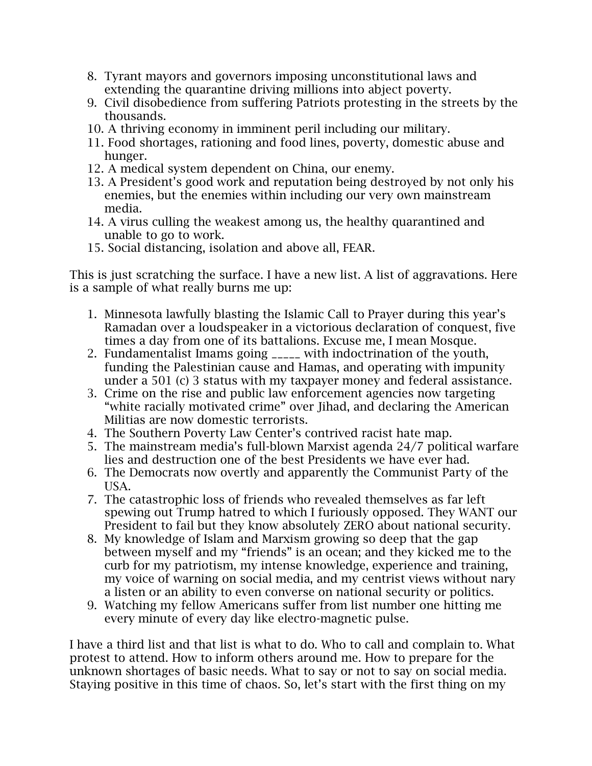- 8. Tyrant mayors and governors imposing unconstitutional laws and extending the quarantine driving millions into abject poverty.
- 9. Civil disobedience from suffering Patriots protesting in the streets by the thousands.
- 10. A thriving economy in imminent peril including our military.
- 11. Food shortages, rationing and food lines, poverty, domestic abuse and hunger.
- 12. A medical system dependent on China, our enemy.
- 13. A President's good work and reputation being destroyed by not only his enemies, but the enemies within including our very own mainstream media.
- 14. A virus culling the weakest among us, the healthy quarantined and unable to go to work.
- 15. Social distancing, isolation and above all, FEAR.

This is just scratching the surface. I have a new list. A list of aggravations. Here is a sample of what really burns me up:

- 1. Minnesota lawfully blasting the Islamic Call to Prayer during this year's Ramadan over a loudspeaker in a victorious declaration of conquest, five times a day from one of its battalions. Excuse me, I mean Mosque.
- 2. Fundamentalist Imams going \_\_\_\_\_ with indoctrination of the youth, funding the Palestinian cause and Hamas, and operating with impunity under a 501 (c) 3 status with my taxpayer money and federal assistance.
- 3. Crime on the rise and public law enforcement agencies now targeting "white racially motivated crime" over Jihad, and declaring the American Militias are now domestic terrorists.
- 4. The Southern Poverty Law Center's contrived racist hate map.
- 5. The mainstream media's full-blown Marxist agenda 24/7 political warfare lies and destruction one of the best Presidents we have ever had.
- 6. The Democrats now overtly and apparently the Communist Party of the USA.
- 7. The catastrophic loss of friends who revealed themselves as far left spewing out Trump hatred to which I furiously opposed. They WANT our President to fail but they know absolutely ZERO about national security.
- 8. My knowledge of Islam and Marxism growing so deep that the gap between myself and my "friends" is an ocean; and they kicked me to the curb for my patriotism, my intense knowledge, experience and training, my voice of warning on social media, and my centrist views without nary a listen or an ability to even converse on national security or politics.
- 9. Watching my fellow Americans suffer from list number one hitting me every minute of every day like electro-magnetic pulse.

I have a third list and that list is what to do. Who to call and complain to. What protest to attend. How to inform others around me. How to prepare for the unknown shortages of basic needs. What to say or not to say on social media. Staying positive in this time of chaos. So, let's start with the first thing on my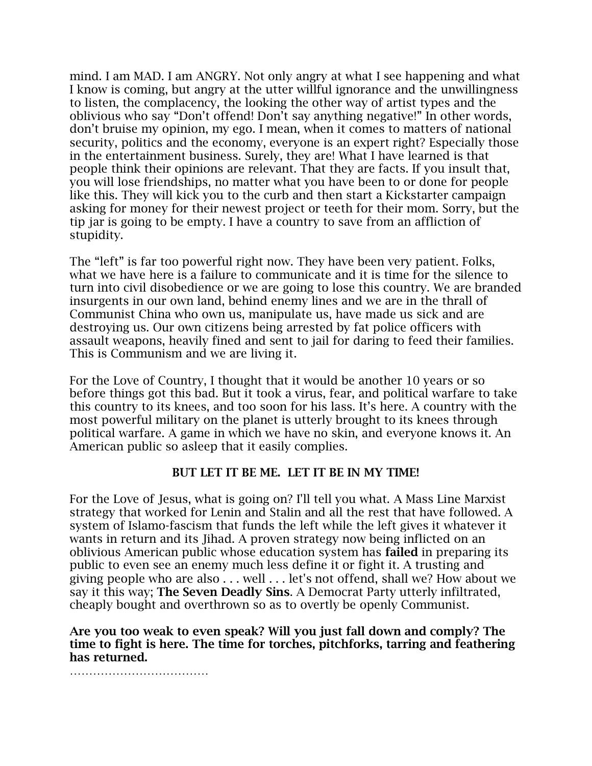mind. I am MAD. I am ANGRY. Not only angry at what I see happening and what I know is coming, but angry at the utter willful ignorance and the unwillingness to listen, the complacency, the looking the other way of artist types and the oblivious who say "Don't offend! Don't say anything negative!" In other words, don't bruise my opinion, my ego. I mean, when it comes to matters of national security, politics and the economy, everyone is an expert right? Especially those in the entertainment business. Surely, they are! What I have learned is that people think their opinions are relevant. That they are facts. If you insult that, you will lose friendships, no matter what you have been to or done for people like this. They will kick you to the curb and then start a Kickstarter campaign asking for money for their newest project or teeth for their mom. Sorry, but the tip jar is going to be empty. I have a country to save from an affliction of stupidity.

The "left" is far too powerful right now. They have been very patient. Folks, what we have here is a failure to communicate and it is time for the silence to turn into civil disobedience or we are going to lose this country. We are branded insurgents in our own land, behind enemy lines and we are in the thrall of Communist China who own us, manipulate us, have made us sick and are destroying us. Our own citizens being arrested by fat police officers with assault weapons, heavily fined and sent to jail for daring to feed their families. This is Communism and we are living it.

For the Love of Country, I thought that it would be another 10 years or so before things got this bad. But it took a virus, fear, and political warfare to take this country to its knees, and too soon for his lass. It's here. A country with the most powerful military on the planet is utterly brought to its knees through political warfare. A game in which we have no skin, and everyone knows it. An American public so asleep that it easily complies.

## BUT LET IT BE ME. LET IT BE IN MY TIME!

For the Love of Jesus, what is going on? I'll tell you what. A Mass Line Marxist strategy that worked for Lenin and Stalin and all the rest that have followed. A system of Islamo-fascism that funds the left while the left gives it whatever it wants in return and its Jihad. A proven strategy now being inflicted on an oblivious American public whose education system has failed in preparing its public to even see an enemy much less define it or fight it. A trusting and giving people who are also . . . well . . . let's not offend, shall we? How about we say it this way; The Seven Deadly Sins. A Democrat Party utterly infiltrated, cheaply bought and overthrown so as to overtly be openly Communist.

Are you too weak to even speak? Will you just fall down and comply? The time to fight is here. The time for torches, pitchforks, tarring and feathering has returned.

……………………………………………